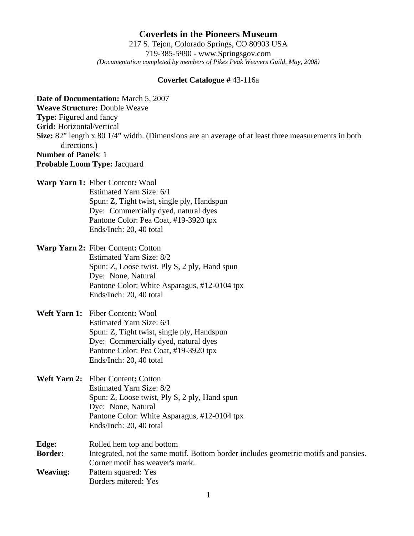**Coverlets in the Pioneers Museum** 217 S. Tejon, Colorado Springs, CO 80903 USA 719-385-5990 - www.Springsgov.com *(Documentation completed by members of Pikes Peak Weavers Guild, May, 2008)* 

## **Coverlet Catalogue #** 43-116a

**Date of Documentation:** March 5, 2007 **Weave Structure:** Double Weave **Type:** Figured and fancy **Grid:** Horizontal/vertical **Size:** 82" length x 80 1/4" width. (Dimensions are an average of at least three measurements in both directions.) **Number of Panels**: 1 **Probable Loom Type:** Jacquard

**Warp Yarn 1:** Fiber Content**:** Wool

 Estimated Yarn Size: 6/1 Spun: Z, Tight twist, single ply, Handspun Dye: Commercially dyed, natural dyes Pantone Color: Pea Coat, #19-3920 tpx Ends/Inch: 20, 40 total

**Warp Yarn 2:** Fiber Content**:** Cotton Estimated Yarn Size: 8/2 Spun: Z, Loose twist, Ply S, 2 ply, Hand spun Dye: None, Natural Pantone Color: White Asparagus, #12-0104 tpx Ends/Inch: 20, 40 total

## **Weft Yarn 1:** Fiber Content**:** Wool Estimated Yarn Size: 6/1 Spun: Z, Tight twist, single ply, Handspun Dye: Commercially dyed, natural dyes Pantone Color: Pea Coat, #19-3920 tpx Ends/Inch: 20, 40 total

- **Weft Yarn 2:** Fiber Content**:** Cotton Estimated Yarn Size: 8/2 Spun: Z, Loose twist, Ply S, 2 ply, Hand spun Dye: None, Natural Pantone Color: White Asparagus, #12-0104 tpx Ends/Inch: 20, 40 total
- **Edge:** Rolled hem top and bottom **Border:** Integrated, not the same motif. Bottom border includes geometric motifs and pansies. Corner motif has weaver's mark. **Weaving:** Pattern squared: Yes Borders mitered: Yes